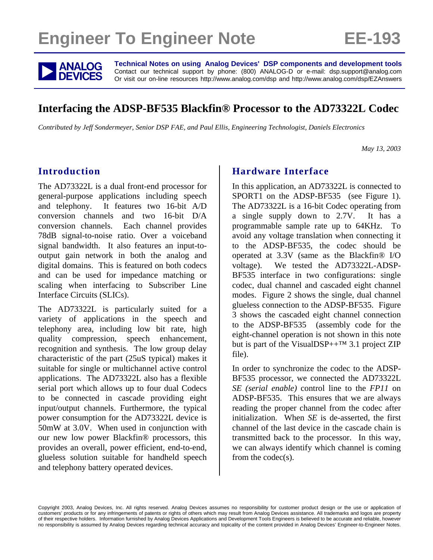# **Engineer To Engineer Note FE-193**



**ANALOG** Technical Notes on using Analog Devices' DSP components and development tools<br> **DEVICES** Or visit our on-line resources http://www.analog.com/dsp and http://www.analog.com/dsp/EZAnswers Contact our technical support by phone: (800) ANALOG-D or e-mail: dsp.support@analog.com Or visit our on-line resources http://www.analog.com/dsp and http://www.analog.com/dsp/EZAnswers

## **Interfacing the ADSP-BF535 Blackfin® Processor to the AD73322L Codec**

*Contributed by Jeff Sondermeyer, Senior DSP FAE, and Paul Ellis, Engineering Technologist, Daniels Electronics* 

 *May 13, 2003* 

## **Introduction**

The AD73322L is a dual front-end processor for general-purpose applications including speech and telephony. It features two 16-bit A/D conversion channels and two 16-bit D/A conversion channels. Each channel provides 78dB signal-to-noise ratio. Over a voiceband signal bandwidth. It also features an input-tooutput gain network in both the analog and digital domains. This is featured on both codecs and can be used for impedance matching or scaling when interfacing to Subscriber Line Interface Circuits (SLICs).

The AD73322L is particularly suited for a variety of applications in the speech and telephony area, including low bit rate, high quality compression, speech enhancement, recognition and synthesis. The low group delay characteristic of the part (25uS typical) makes it suitable for single or multichannel active control applications. The AD73322L also has a flexible serial port which allows up to four dual Codecs to be connected in cascade providing eight input/output channels. Furthermore, the typical power consumption for the AD73322L device is 50mW at 3.0V. When used in conjunction with our new low power Blackfin® processors, this provides an overall, power efficient, end-to-end, glueless solution suitable for handheld speech and telephony battery operated devices.

## **Hardware Interface**

In this application, an AD73322L is connected to SPORT1 on the ADSP-BF535 (see [Figure 1\)](#page-1-0). The AD73322L is a 16-bit Codec operating from a single supply down to 2.7V. It has a programmable sample rate up to 64KHz. To avoid any voltage translation when connecting it to the ADSP-BF535, the codec should be operated at 3.3V (same as the Blackfin® I/O voltage). We tested the AD73322L-ADSP-BF535 interface in two configurations: single codec, dual channel and cascaded eight channel modes. [Figure 2](#page-2-0) shows the single, dual channel glueless connection to the ADSP-BF535. [Figure](#page-3-0)  [3](#page-3-0) shows the cascaded eight channel connection to the ADSP-BF535 (assembly code for the eight-channel operation is not shown in this note but is part of the VisualDSP++ $TM$  3.1 project ZIP file).

In order to synchronize the codec to the ADSP-BF535 processor, we connected the AD73322L *SE (serial enable)* control line to the *FP11* on ADSP-BF535. This ensures that we are always reading the proper channel from the codec after initialization. When *SE* is de-asserted, the first channel of the last device in the cascade chain is transmitted back to the processor. In this way, we can always identify which channel is coming from the codec(s).

Copyright 2003, Analog Devices, Inc. All rights reserved. Analog Devices assumes no responsibility for customer product design or the use or application of customers' products or for any infringements of patents or rights of others which may result from Analog Devices assistance. All trademarks and logos are property of their respective holders. Information furnished by Analog Devices Applications and Development Tools Engineers is believed to be accurate and reliable, however no responsibility is assumed by Analog Devices regarding technical accuracy and topicality of the content provided in Analog Devices' Engineer-to-Engineer Notes.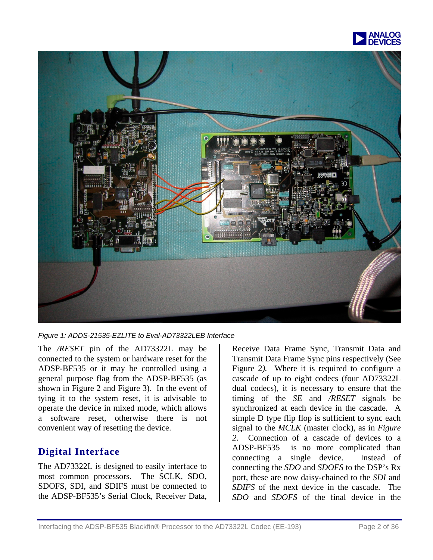

<span id="page-1-0"></span>

*Figure 1: ADDS-21535-EZLITE to Eval-AD73322LEB Interface* 

The */RESET* pin of the AD73322L may be connected to the system or hardware reset for the ADSP-BF535 or it may be controlled using a general purpose flag from the ADSP-BF535 (as shown in [Figure 2](#page-2-0) and [Figure 3\)](#page-3-0). In the event of tying it to the system reset, it is advisable to operate the device in mixed mode, which allows a software reset, otherwise there is not convenient way of resetting the device.

## **Digital Interface**

The AD73322L is designed to easily interface to most common processors. The SCLK, SDO, SDOFS, SDI, and SDIFS must be connected to the ADSP-BF535's Serial Clock, Receiver Data,

Receive Data Frame Sync, Transmit Data and Transmit Data Frame Sync pins respectively (See [Figure 2](#page-2-0)). Where it is required to configure a cascade of up to eight codecs (four AD73322L dual codecs), it is necessary to ensure that the timing of the *SE* and */RESET* signals be synchronized at each device in the cascade. A simple D type flip flop is sufficient to sync each signal to the *MCLK* (master clock), as in *Figure 2*. Connection of a cascade of devices to a ADSP-BF535 is no more complicated than connecting a single device. Instead of connecting the *SDO* and *SDOFS* to the DSP's Rx port, these are now daisy-chained to the *SDI* and *SDIFS* of the next device in the cascade. The *SDO* and *SDOFS* of the final device in the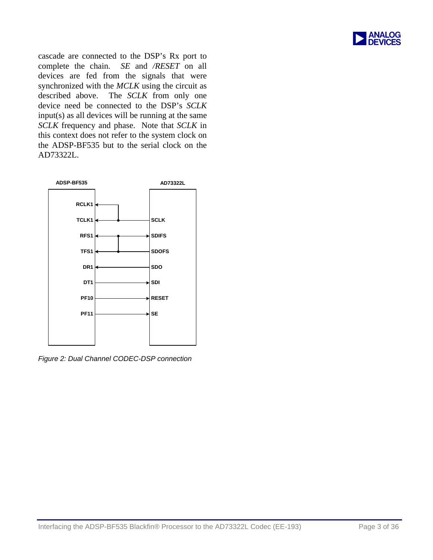

cascade are connected to the DSP's Rx port to complete the chain. *SE* and */RESET* on all devices are fed from the signals that were synchronized with the *MCLK* using the circuit as described above. The *SCLK* from only one device need be connected to the DSP's *SCLK* input(s) as all devices will be running at the same *SCLK* frequency and phase. Note that *SCLK* in this context does not refer to the system clock on the ADSP-BF535 but to the serial clock on the AD73322L.

<span id="page-2-0"></span>

*Figure 2: Dual Channel CODEC-DSP connection*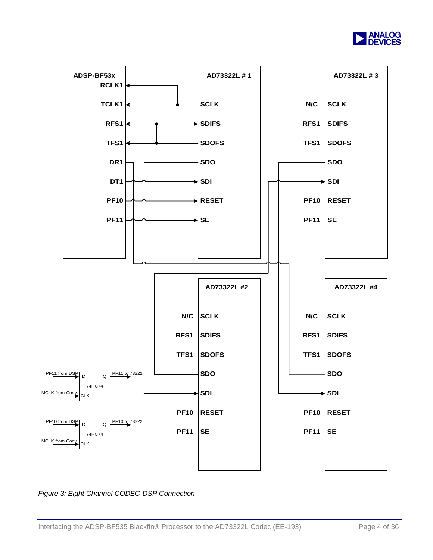

<span id="page-3-0"></span>

*Figure 3: Eight Channel CODEC-DSP Connection*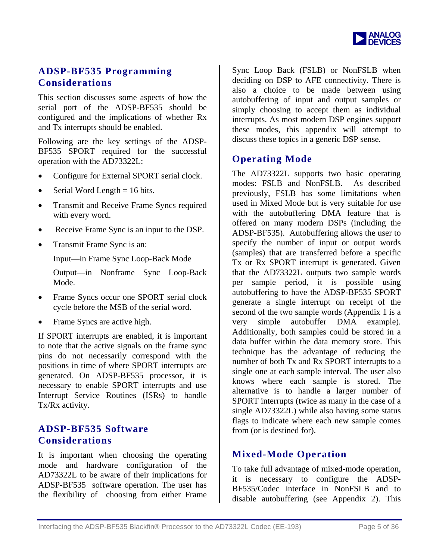

## **ADSP-BF535 Programming Considerations**

This section discusses some aspects of how the serial port of the ADSP-BF535 should be configured and the implications of whether Rx and Tx interrupts should be enabled.

Following are the key settings of the ADSP-BF535 SPORT required for the successful operation with the AD73322L:

- Configure for External SPORT serial clock.
- Serial Word Length  $= 16$  bits.
- Transmit and Receive Frame Syncs required with every word.
- Receive Frame Sync is an input to the DSP.
- Transmit Frame Sync is an:

Input—in Frame Sync Loop-Back Mode

Output—in Nonframe Sync Loop-Back Mode.

- Frame Syncs occur one SPORT serial clock cycle before the MSB of the serial word.
- Frame Syncs are active high.

If SPORT interrupts are enabled, it is important to note that the active signals on the frame sync pins do not necessarily correspond with the positions in time of where SPORT interrupts are generated. On ADSP-BF535 processor, it is necessary to enable SPORT interrupts and use Interrupt Service Routines (ISRs) to handle Tx/Rx activity.

#### **ADSP-BF535 Software Considerations**

It is important when choosing the operating mode and hardware configuration of the AD73322L to be aware of their implications for ADSP-BF535 software operation. The user has the flexibility of choosing from either Frame Sync Loop Back (FSLB) or NonFSLB when deciding on DSP to AFE connectivity. There is also a choice to be made between using autobuffering of input and output samples or simply choosing to accept them as individual interrupts. As most modern DSP engines support these modes, this appendix will attempt to discuss these topics in a generic DSP sense.

#### **Operating Mode**

The AD73322L supports two basic operating modes: FSLB and NonFSLB. As described previously, FSLB has some limitations when used in Mixed Mode but is very suitable for use with the autobuffering DMA feature that is offered on many modern DSPs (including the ADSP-BF535). Autobuffering allows the user to specify the number of input or output words (samples) that are transferred before a specific Tx or Rx SPORT interrupt is generated. Given that the AD73322L outputs two sample words per sample period, it is possible using autobuffering to have the ADSP-BF535 SPORT generate a single interrupt on receipt of the second of the two sample words (Appendix 1 is a very simple autobuffer DMA example). Additionally, both samples could be stored in a data buffer within the data memory store. This technique has the advantage of reducing the number of both Tx and Rx SPORT interrupts to a single one at each sample interval. The user also knows where each sample is stored. The alternative is to handle a larger number of SPORT interrupts (twice as many in the case of a single AD73322L) while also having some status flags to indicate where each new sample comes from (or is destined for).

#### **Mixed-Mode Operation**

To take full advantage of mixed-mode operation, it is necessary to configure the ADSP-BF535/Codec interface in NonFSLB and to disable autobuffering (see Appendix 2). This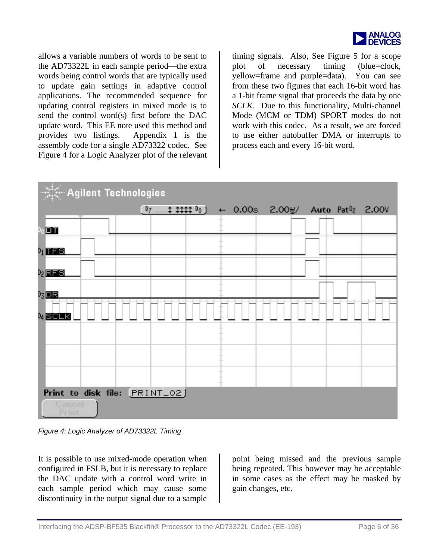

allows a variable num bers of words to be sent to the AD73322L in each sam ple period—the extra words being control words that are typically used to update gain settings in adaptive control applications. The recommended sequence for updating control registers in mixed mode is to send the control word(s) first before the DAC update word. This EE note used this method and provides two listings. Appendix 1 is the assembly code for a single AD73322 codec. See [Figure 4](#page-5-0) for a Logic Analyzer plot of the relevant

timing signals. Also, See [Figure 5](#page-6-0) for a scope plot of necessary timing (blue=clock, yellow=frame and purple=data). You can see from these two figures that each 16-bit word has a 1-bit frame signal that proceeds the data by one *SCLK.* Due to this functionality, Multi-channel Mode (MCM or TDM) SPORT modes do not work with this codec. As a result, we are forced to use either autobuffer DMA or interrupts to process each and every 16-bit word.

<span id="page-5-0"></span>

*Figure 4: Logic Analyzer of AD73322L Timing* 

It is possible to use mixed-mode operation when configured in FSLB, but it is necessary to replace the DAC update with a control word write in each sample period which may cause some discontinuity in the output signal due to a sample point being missed and the previous sample being repeated. This however may be acceptable in some cases as the effect may be masked by gain changes, etc.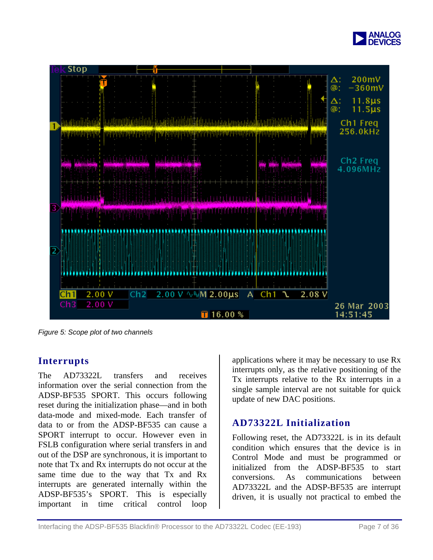

<span id="page-6-0"></span>

*Figure 5: Scope plot of two channels* 

## **Interrupts**

The AD73322L transfers and receives information over the serial connection from the ADSP-BF535 SPORT. This occurs following reset during the initialization phase—and in both data-mode and mixed-mode. Each transfer of data to or from the ADSP-BF535 can cause a SPORT interrupt to occur. However even in FSLB configuration where serial transfers in and out of the DSP are synchronous, it is important to note that Tx and Rx interrupts do not occur at the same time due to the way that Tx and Rx interrupts are generated internally within the ADSP-BF535's SPORT. This is especially important in time critical control loop

applications where it may be necessary to use Rx interrupts only, as the relative positioning of the Tx interrupts relative to the Rx interrupts in a single sample interval are not suitable for quick update of new DAC positions.

## **AD73322L Initialization**

Following reset, the AD73322L is in its default condition which ensures that the device is in Control Mode and must be programmed or initialized from the ADSP-BF535 to start conversions. As communications between AD73322L and the ADSP-BF535 are interrupt driven, it is usually not practical to embed the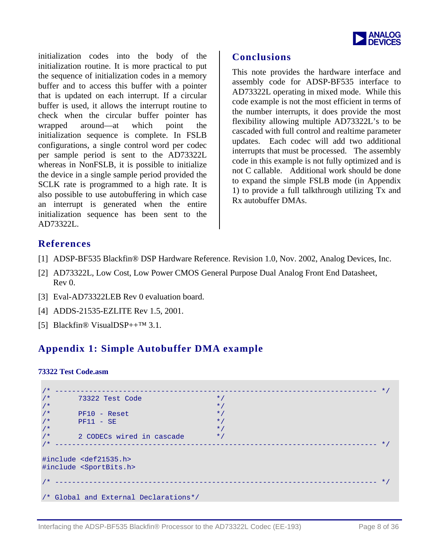

initialization codes into the body of the initialization routine. It is more practical to put the sequence of initialization codes in a memory buffer and to access this buffer with a pointer that is updated on each interrupt. If a circular buffer is used, it allows the interrupt routine to check when the circular buffer pointer has wrapped around—at which point the initialization sequence is complete. In FSLB configurations, a single control word per codec per sample period is sent to the AD73322L whereas in NonFSLB, it is possible to initialize the device in a single sample period provided the SCLK rate is programmed to a high rate. It is also possible to use autobuffering in which case an interrupt is generated when the entire initialization sequence has been sent to the AD73322L.

#### **Conclusions**

This note provides the hardware interface and assembly code for ADSP-BF535 interface to AD73322L operating in mixed mode. While this code example is not the most efficient in terms of the number interrupts, it does provide the most flexibility allowing multiple AD73322L's to be cascaded with full control and realtime parameter updates. Each codec will add two additional interrupts that must be processed. The assembly code in this example is not fully optimized and is not C callable. Additional work should be done to expand the simple FSLB mode (in Appendix 1) to provide a full talkthrough utilizing Tx and Rx autobuffer DMAs.

#### **References**

- [1] ADSP-BF535 Blackfin® DSP Hardware Reference. Revision 1.0, Nov. 2002, Analog Devices, Inc.
- [2] AD73322L, Low Cost, Low Power CMOS General Purpose Dual Analog Front End Datasheet, Rev 0.
- [3] Eval-AD73322LEB Rev 0 evaluation board.
- [4] ADDS-21535-EZLITE Rev 1.5, 2001.
- [5] Blackfin® VisualDSP++™ 3.1.

## **Appendix 1: Simple Autobuffer DMA example**

#### **73322 Test Code.asm**

| $/$ * |                                                                             |           |  |
|-------|-----------------------------------------------------------------------------|-----------|--|
| $/$ * | 73322 Test Code                                                             | $\star$ / |  |
| $/$ * |                                                                             | $\star$   |  |
| $/$ * | $PF10 - Reset$                                                              | $\star$   |  |
| $/$ * | $PF11 - SE$                                                                 | $\star$   |  |
| $/$ * |                                                                             | $*$       |  |
| $/$ * | 2 CODECs wired in cascade                                                   | $\star$ / |  |
| $/$ * |                                                                             |           |  |
|       | #include <def21535.h><br/>#include <sportbits.h></sportbits.h></def21535.h> |           |  |
|       |                                                                             | $\star$ / |  |
|       | /* Global and External Declarations*/                                       |           |  |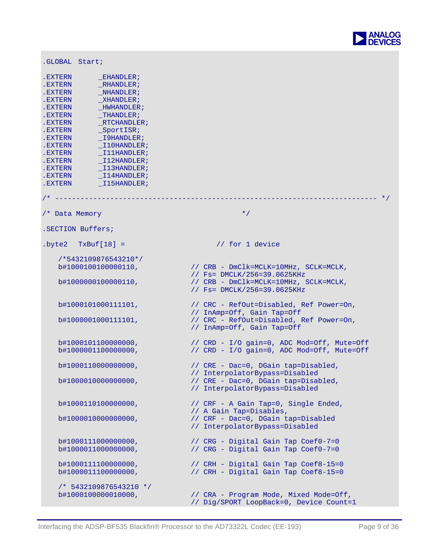

| .GLOBAL Start;                                                                                                                                                                                                                                                                                                                                                                                               |                                                                                                         |
|--------------------------------------------------------------------------------------------------------------------------------------------------------------------------------------------------------------------------------------------------------------------------------------------------------------------------------------------------------------------------------------------------------------|---------------------------------------------------------------------------------------------------------|
| .EXTERN<br>EHANDLER;<br>RHANDLER;<br>.EXTERN<br>.EXTERN<br>NHANDLER;<br>.EXTERN<br>XHANDLER;<br>.EXTERN<br>_HWHANDLER;<br>$_\text{THANDLER}$<br>.EXTERN<br>RTCHANDLER;<br>.EXTERN<br>SportISR;<br>.EXTERN<br>I9HANDLER;<br>.EXTERN<br>.EXTERN<br>$\_$ I10HANDLER;<br>$_1$ 11HANDLER;<br>.EXTERN<br>I12HANDLER;<br>.EXTERN<br>$\_$ I13HANDLER;<br>.EXTERN<br>.EXTERN<br>I14HANDLER;<br>I15HANDLER;<br>.EXTERN |                                                                                                         |
|                                                                                                                                                                                                                                                                                                                                                                                                              |                                                                                                         |
| /* Data Memory                                                                                                                                                                                                                                                                                                                                                                                               | $\star$ /                                                                                               |
| .SECTION Buffers;                                                                                                                                                                                                                                                                                                                                                                                            |                                                                                                         |
| $.byte2$ $TxBuf[18] =$                                                                                                                                                                                                                                                                                                                                                                                       | // for 1 device                                                                                         |
| /*5432109876543210*/                                                                                                                                                                                                                                                                                                                                                                                         |                                                                                                         |
| b#1000100100000110,                                                                                                                                                                                                                                                                                                                                                                                          | // CRB - DmClk=MCLK=10MHz, SCLK=MCLK,<br>// Fs= DMCLK/256=39.0625KHz                                    |
| b#1000000100000110,                                                                                                                                                                                                                                                                                                                                                                                          | // CRB - DmClk=MCLK=10MHz, SCLK=MCLK,<br>// Fs= DMCLK/256=39.0625KHz                                    |
| b#1000101000111101,                                                                                                                                                                                                                                                                                                                                                                                          | // CRC - RefOut=Disabled, Ref Power=On,<br>// InAmp=Off, Gain Tap=Off                                   |
| b#1000001000111101,                                                                                                                                                                                                                                                                                                                                                                                          | // CRC - RefOut=Disabled, Ref Power=On,<br>// InAmp=Off, Gain Tap=Off                                   |
| b#1000101100000000,<br>b#1000001100000000,                                                                                                                                                                                                                                                                                                                                                                   | // CRD - I/O gain=0, ADC Mod=Off, Mute=Off<br>// CRD - I/O gain=0, ADC Mod=Off, Mute=Off                |
| b#1000110000000000,                                                                                                                                                                                                                                                                                                                                                                                          | // CRE - Dac=0, DGain tap=Disabled,                                                                     |
| b#1000010000000000,                                                                                                                                                                                                                                                                                                                                                                                          | // InterpolatorBypass=Disabled<br>// CRE - Dac=0, DGain tap=Disabled,<br>// InterpolatorBypass=Disabled |
| b#1000110100000000,                                                                                                                                                                                                                                                                                                                                                                                          | // CRF - A Gain Tap=0, Single Ended,                                                                    |
| b#1000010000000000,                                                                                                                                                                                                                                                                                                                                                                                          | // A Gain Tap=Disables,<br>// CRF - Dac=0, DGain tap=Disabled<br>// InterpolatorBypass=Disabled         |
| b#1000111000000000,<br>b#1000011000000000,                                                                                                                                                                                                                                                                                                                                                                   | // CRG - Digital Gain Tap Coef0-7=0<br>// CRG - Digital Gain Tap Coef0-7=0                              |
| b#1000111100000000,<br>b#1000011100000000,                                                                                                                                                                                                                                                                                                                                                                   | // CRH - Digital Gain Tap Coef8-15=0<br>// CRH - Digital Gain Tap Coef8-15=0                            |
| /* 5432109876543210 */<br>b#1000100000010000,                                                                                                                                                                                                                                                                                                                                                                | // CRA - Program Mode, Mixed Mode=Off,<br>// Dig/SPORT LoopBack=0, Device Count=1                       |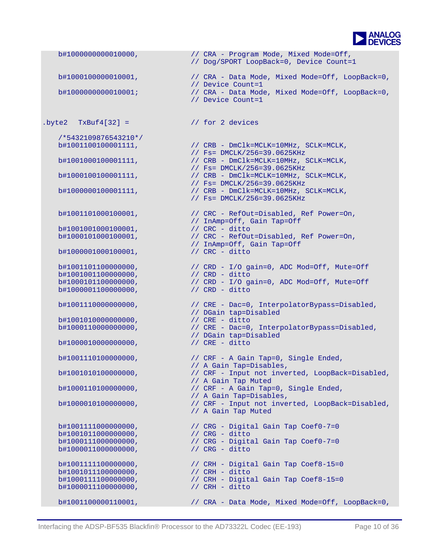

 b#1000000000010000, // CRA - Program Mode, Mixed Mode=Off, // Dog/SPORT LoopBack=0, Device Count=1 b#1000100000010001, // CRA - Data Mode, Mixed Mode=Off, LoopBack=0, // Device Count=1<br>b#100000000000010001; // CRA - Data Mode // CRA - Data Mode, Mixed Mode=Off, LoopBack=0, // Device Count=1  $.$  byte2 TxBuf4[32] =  $//$  for 2 devices /\*5432109876543210\*/ b#1001100100001111, // CRB - DmClk=MCLK=10MHz, SCLK=MCLK, % // Fs= DMCLK/256=39.0625KHz<br>b#1001000100001111, // CRB - DmClk=MCLK=10MHz, S  $h/$  CRB - DmClk=MCLK=10MHz, SCLK=MCLK, // Fs= DMCLK/256=39.0625KHz<br>b#1000100100001111, // CRB - DmClk=MCLK=10MHz, S  $\frac{1}{\sqrt{C}}$ CRB - DmClk=MCLK=10MHz, SCLK=MCLK, // Fs= DMCLK/256=39.0625KHz // CRB - DmClk=MCLK=10MHz, SCLK=MCLK, // Fs= DMCLK/256=39.0625KHz b#1001101000100001, // CRC - RefOut=Disabled, Ref Power=On, // InAmp=Off, Gain Tap=Off b#1001001000100001,<br>b#1000101000100001, // CRC - RefOut=Disabled, Ref Power=On, // InAmp=Off, Gain Tap=Off b#1000001000100001, b#1001101100000000, // CRD - I/O gain=0, ADC Mod=Off, Mute=Off<br>b#1001001100000000, // CRD - ditto b#1001001100000000, b#1000101100000000, // CRD - I/O gain=0, ADC Mod=Off, Mute=Off b#1000001100000000, // CRD - ditto b#1001110000000000, // CRE - Dac=0, InterpolatorBypass=Disabled, // DGain tap=Disabled  $b#1001010000000000$ ,<br> $b#1000110000000000$ , b#1000110000000000, // CRE - Dac=0, InterpolatorBypass=Disabled, // DGain tap=Disabled b#1000010000000000000, // CRE - ditto b#1001110100000000, // CRF - A Gain Tap=0, Single Ended, // A Gain Tap=Disables, b#1001010100000000, // CRF - Input not inverted, LoopBack=Disabled, // A Gain Tap Muted b#1000110100000000, // CRF - A Gain Tap=0, Single Ended, // A Gain Tap=Disables, b#1000010100000000, // CRF - Input not inverted, LoopBack=Disabled, // A Gain Tap Muted b#1001111000000000,<br>b#1001011000000000,<br>h#1000111000000000,<br>h#10001110000000000,<br>h#10001110000000000, b#1001011000000000,<br>b#1000111000000000, // CRG - Digital Gain Tap Coef0-7=0 b#1000011000000000, // CRG - ditto b#1001111100000000, // CRH - Digital Gain Tap Coef8-15=0 b#1001011100000000, // CRH - ditto  $b#1000111100000000$ ,  $/$  CRH - Digital Gain Tap Coef8-15=0<br> $b#1000011100000000$ ,  $/$  CRH - ditto b#10000111000000000, b#1001100000110001, // CRA - Data Mode, Mixed Mode=Off, LoopBack=0,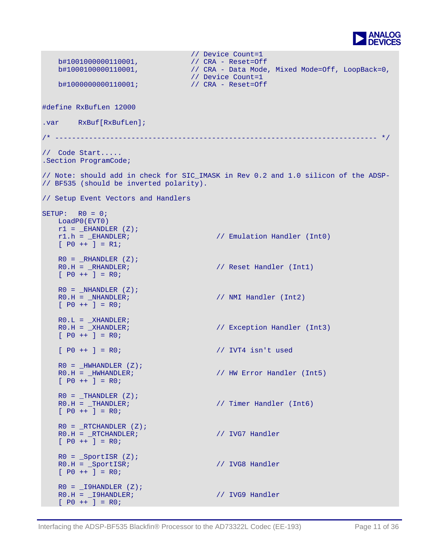

```
 b#1001000000110001, 
                  // 
                               // CRA - Reset=Off 
                                 // Device Count=1
   b#1000100000110001, // CRA - Data Mode, Mixed Mode=Off, LoopBack=0,
                                  // Device Count=1<br>// CRA - Reset=Off
   b#1000000000110001;
#define RxBufLen 12000 
.var RxBuf[RxBufLen];
/* ---------------------------------------------------------------------------- */ 
// Code Start..... 
.Section ProgramCode; 
// Note: should add in check for SIC_IMASK in Rev 0.2 and 1.0 silicon of the ADSP-
// BF535 (should be inverted polarity). 
// Setup Event Vectors and Handlers 
SETUP: R0 = 0; LoadP0(EVT0) 
   r1 = EHANDLER (Z);r1.h = _EHANDLER; // Emulation Handler (Int0) 
   [ P0 ++ ] = R1;
   R0 = RHANDLER (Z);R0.H = _RHANDLER; \frac{1}{100} // Reset Handler (Intl)
   [ P0 ++ ] = R0;
   R0 = _NHANDLER (Z);<br>R0.H = _NHANDLER;
                                       \frac{1}{10} NMI Handler (Int2)
   [ PO ++ ] = RO;
   R0.L = \_ XHANDLER;<br>R0.H = \_ XHANDLER;
                                       // Exception Handler (Int3)
   [ P0 ++ ] = R0;
   [ P0 ++ ] = R0; // IVT4 isn't used 
   R0 = _HWHANDLER (Z);<br>R0.H = _HWHANDLER;
                                       // HW Error Handler (Int5)
   [ P0 ++ ] = R0;
   R0 =THANDLER (Z);<br>R0.H =THANDLER;
                                       // Timer Handler (Int6)
   [ PO ++ ] = RO;
   R0 = TRTCHANDLER (Z);R0.H = _RTCHANDLER; // IVG7 Handler
   [ P0 ++ ] = R0;
   R0 = SportISR (Z);
   R0.H = _SportISR; \frac{1}{2} // IVG8 Handler
   [ P0 ++ ] = R0;
   R0 = I9HANDLER (Z);R0.H = _I9HANDLER; // IVG9 Handler
   [ PO ++ ] = RO;
```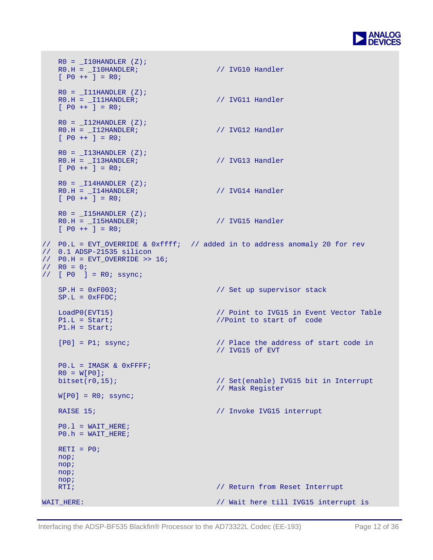

```
R0 = 110HANDLER (Z);
   R0.H = _I10HANDLER; // IVG10 Handler
   [ P0 ++ ] = R0;
   R0 = 111HANDLER (Z);
   R0.H = _I11HANDLER; // IVG11 Handler
   [ PO ++ ] = RO;
   R0 = 12HANDLER (Z);
   R0.H = _I12HANDLER; // IVG12 Handler
   [ PO ++ ] = RO;
   R0 = 113HANDLER (Z);
   R0.H = _I13HANDLER; // IVG13 Handler
   [ PO ++ ] = RO;
   R0 = 114HANDLER (Z);
   R0.H = _I14HANDLER; // IVG14 Handler
   [ PO ++ ] = RO;
  R0 = 115HANDLER (Z);
   R0.H = _I15HANDLER; // IVG15 Handler
   [ P0 ++ ] = R0;
// P0.L = EVT_OVERRIDE & 0xffff; // added in to address anomaly 20 for rev 
// 0.1 ADSP-21535 silicon 
// PO.H = EVT_OVERRIDE >> 16;
1/ RO = 0;
// [ P0 ] = R0; ssync; 
   SP.H = 0xF003; \vert// Set up supervisor stack
   SP.L = 0xFFDC;LoadP0(EVT15) \frac{1}{1} Doint to IVG15 in Event Vector Table P1.L = Start;
                                   //Point to start of code
   P1.H = Start; 
   [P0] = P1; ssync; // Place the address of start code in 
                                    // IVG15 of EVT 
   PO.L = IMASK & OxFFFF;R0 = W[PO];<br>bitset(r0,15);
                                   // Set(enable) IVG15 bit in Interrupt
                                    // Mask Register 
   W[P0] = R0; ssync;
   RAISE 15; \frac{15}{100} // Invoke IVG15 interrupt
   PO.1 = WAIT HERE;P0.h = WAIT_HERE; 
   RETI = P0; nop; 
    nop; 
    nop; 
    nop; 
   RTI; \frac{1}{2} Return from Reset Interrupt
WAIT_HERE: \frac{1}{100} // Wait here till IVG15 interrupt is
```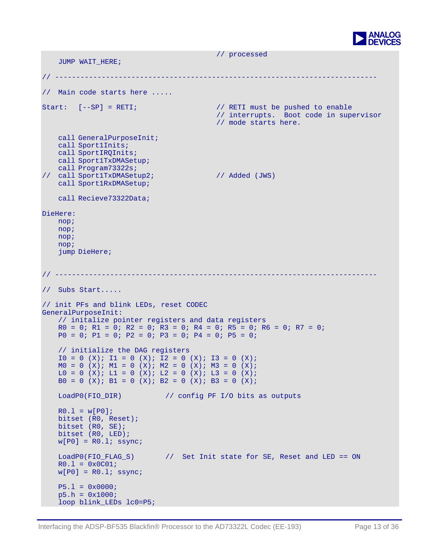

```
JUMP WAIT HERE;
                                       // processed 
// ---------------------------------------------------------------------------- 
// Main code starts here ..... 
Start: [--SP] = RETI; \frac{1}{2} // RETI must be pushed to enable
                                          // interrupts. Boot code in supervisor 
                                          // mode starts here. 
    call GeneralPurposeInit; 
    call Sport1Inits; 
    call SportIRQInits; 
    call Sport1TxDMASetup; 
    call Program73322s; 
// call Sport1TxDMASetup2; // Added (JWS) 
    call Sport1RxDMASetup; 
    call Recieve73322Data; 
DieHere: 
    nop; 
    nop; 
    nop; 
    nop; 
    jump DieHere; 
// ---------------------------------------------------------------------------- 
// Subs Start..... 
// init PFs and blink LEDs, reset CODEC 
GeneralPurposeInit: 
   // initalize pointer registers and data registers 
   R0 = 0; R1 = 0; R2 = 0; R3 = 0; R4 = 0; R5 = 0; R6 = 0; R7 = 0;
   P0 = 0; P1 = 0; P2 = 0; P3 = 0; P4 = 0; P5 = 0;
   // initialize the DAG registers 
   IO = 0 (X); II = 0 (X); I2 = 0 (X); I3 = 0 (X);MO = O (X); M1 = O (X); M2 = O (X); M3 = O (X);LO = O (X); L1 = O (X); L2 = O (X); L3 = O (X);B0 = 0 (X); B1 = 0 (X); B2 = 0 (X); B3 = 0 (X);
   LoadP0(FIO_DIR) // config PF I/O bits as outputs 
   R0.1 = w[P0];bitset (R0, Reset); 
   bitset (R0, SE); 
   bitset (R0, LED); 
   w[PO] = R0.1; ssync;
   LoadP0(FIO_FLAG_S) // Set Init state for SE, Reset and LED == ON 
   R0.1 = 0x0C01;w[PO] = R0.1; ssync;
   P5.1 = 0x0000;p5.h = 0x1000; 
   loop blink_LEDs lc0=P5;
```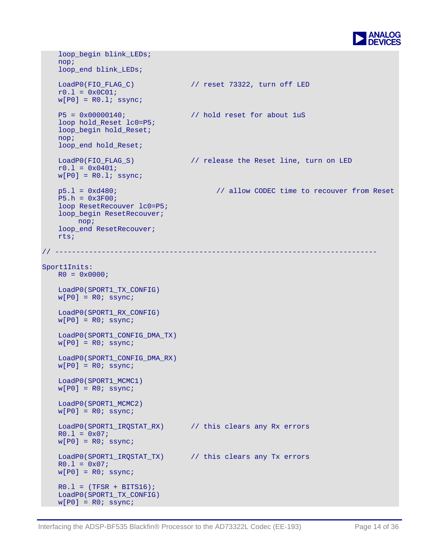

```
 loop_begin 
blink_LEDs; 
    nop; 
    loop_end blink_LEDs; 
   LoadP0(FIO_FLAG_C) // reset 73322, turn off LED 
   r0.1 = 0x0C01;w[P0] = R0.1; ssync;
   P5 = 0x00000140; // hold reset for about 1uS 
   loop hold_Reset lc0=P5; 
    loop_begin hold_Reset; 
    nop; 
   loop end hold Reset;
   LoadP0(FIO_FLAG_S) // release the Reset line, turn on LED 
   r0.1 = 0x0401;w[P0] = R0.1; ssync;
   p5.l = 0xd480; // allow CODEC time to recouver from Reset 
   P5.h = 0x3F00; 
   loop ResetRecouver lc0=P5; 
    loop_begin ResetRecouver; 
        nop; 
   loop_end ResetRecouver;
    rts; 
// ---------------------------------------------------------------------------- 
Sport1Inits: 
   R0 = 0 \times 0000 LoadP0(SPORT1_TX_CONFIG) 
   w[PO] = R0; ssync;
    LoadP0(SPORT1_RX_CONFIG) 
   w[PO] = R0; ssync;
    LoadP0(SPORT1_CONFIG_DMA_TX) 
   w[PO] = R0; ssync;
    LoadP0(SPORT1_CONFIG_DMA_RX) 
   w[PO] = R0; ssync;
    LoadP0(SPORT1_MCMC1) 
   w[PO] = R0; ssync; LoadP0(SPORT1_MCMC2) 
   w[PO] = R0; ssync;
    LoadP0(SPORT1_IRQSTAT_RX) // this clears any Rx errors 
   R0.1 = 0x07;w[PO] = R0; ssync;
    LoadP0(SPORT1_IRQSTAT_TX) // this clears any Tx errors 
   R0.1 = 0x07;w[PO] = R0; ssync;
   R0.1 = (TFSR + BITS16); LoadP0(SPORT1_TX_CONFIG) 
   w[PO] = R0; ssync;
```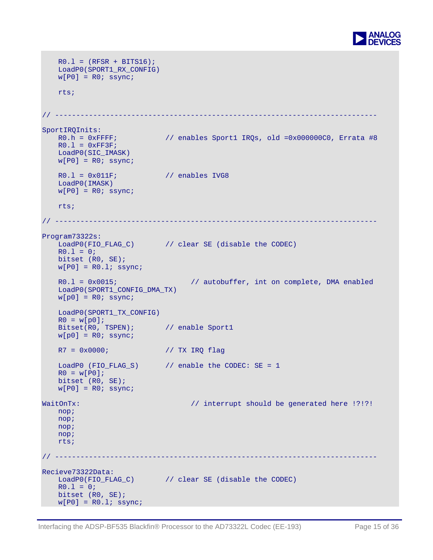

```
R0.1 = (RFSR + BITS16);
    LoadP0(SPORT1_RX_CONFIG) 
   w[PO] = R0; ssync;
    rts; 
// ---------------------------------------------------------------------------- 
SportIRQInits: 
   R0.h = 0x FFFF; \frac{1}{8} enables Sport1 IRQs, old =0x000000C0, Errata #8
   R0.1 = 0xFF3F; LoadP0(SIC_IMASK) 
   w[PO] = R0; ssync;
   R0.1 = 0x011F; // enables IVG8
    LoadP0(IMASK) 
   w[PO] = R0; ssync;
    rts; 
// ------------------------
                             // ---------------------------------------------------------------------------- 
Program73322s: 
   LoadP0(FIO_FLAG_C) // clear SE (disable the CODEC)
   R0.1 = 0;bitset (R0, SE); 
   w[P0] = R0.1; ssync;
   R0.1 = 0x0015; \frac{1}{2} autobuffer, int on complete, DMA enabled
    LoadP0(SPORT1_CONFIG_DMA_TX) 
   w[p0] = R0; ssync;
    LoadP0(SPORT1_TX_CONFIG) 
   R0 = w[p0];Bitset(R0, TSPEN); // enable Sport1
   w[p0] = R0; ssync;
   R7 = 0x0000; // TX IRQ flag 
    LoadP0 (FIO_FLAG_S) // enable the CODEC: SE = 1 
   R0 = w[PO];bitset (R0, SE); 
   w[PO] = R0; ssync;WaitOnTx: \frac{1}{2} // interrupt should be generated here !?!?!
    nop; 
    nop; 
    nop; 
    nop; 
    rts; 
// ---------------------------------------------------------------------------- 
Recieve73322Data: 
   LoadP0(FIO_FLAG_C) // clear SE (disable the CODEC) 
   R0.1 = 0;bitset (R0, SE); 
   w[PO] = R0.l; ssync;
```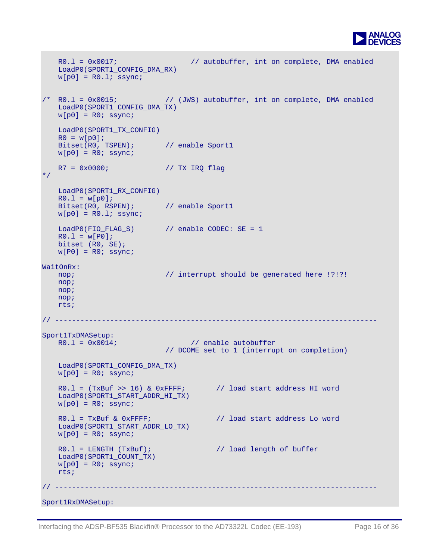

```
R0.l = 0x0017; // autobuffer, int on complete, DMA enabled 
    LoadP0(SPORT1_CONFIG_DMA_RX) 
   w[p0] = R0.l; ssync;/* R0.l = 0x0015; // (JWS) autobuffer, int on complete, DMA enabled 
    LoadP0(SPORT1_CONFIG_DMA_TX) 
   w[p0] = R0; ssync;
    LoadP0(SPORT1_TX_CONFIG) 
   R0 = w[p0];Bitset(R0, TSPEN); // enable Sport1
   w[p0] = R0; ssync;
   R7 = 0x0000; // TX IRO flag*/ 
    LoadP0(SPORT1_RX_CONFIG) 
   R0.1 = w[p0];Bitset(R0, RSPEN); // enable Sport1
   w[p0] = R0.1; ssync;
   LoadP0(FIO_FLAG_S) // enable CODEC: SE = 1 
   R0.1 = w[PO];bitset (R0, SE); 
   w[PO] = R0; ssync;
WaitOnRx: 
  nop; \frac{1}{2} // interrupt should be generated here !?!?!
    nop; 
    nop; 
    nop; 
    rts; 
// ---------------------------------------------------------------------------- 
Sport1TxDMASetup: 
  R0.1 = 0x0014; \frac{1}{2} enable autobuffer
                           // DCOME set to 1 (interrupt on completion) 
    LoadP0(SPORT1_CONFIG_DMA_TX) 
   w[p0] = R0; ssync;
   R0.l = (TxBuf \gg 16) \& 0xFFFF; // load start address HI word
    LoadP0(SPORT1_START_ADDR_HI_TX) 
   w[p0] = R0; ssync;
   R0.1 = TxBuf & 0xFFFF; \frac{1}{2} load start address Lo word
    LoadP0(SPORT1_START_ADDR_LO_TX) 
   w[p0] = R0; ssync;
   R0.1 = LENGTH (TxBuf); \frac{1}{2} // load length of buffer
    LoadP0(SPORT1_COUNT_TX) 
   w[p0] = R0; ssync;
    rts; 
// ----------------------------------------------------------------------------
```
Sport1RxDMASetup: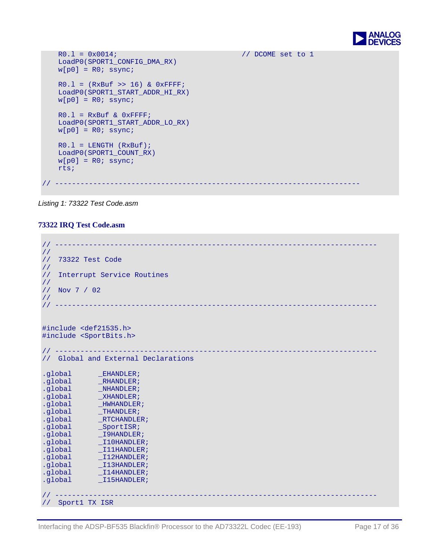

```
 LoadP0(SPORT1_CONFIG_DMA_RX) 
   R0.l = 0x0014; // DCOME set to 1 
   w[p0] = R0; ssync;
   R0.1 = (RxBuf >> 16) & 0xFFFF;
    LoadP0(SPORT1_START_ADDR_HI_RX) 
   w[p0] = R0; ssync;
   R0.1 = RxBut & 0xFFFF; LoadP0(SPORT1_START_ADDR_LO_RX) 
   w[p0] = R0; ssync;
   R0.1 = LENGTH (RxBuf);
    LoadP0(SPORT1_COUNT_RX) 
   w[p0] = R0; ssync;
    rts; 
// ------------------------------------------------------------------------
```
*Listing 1: 73322 Test Code.asm*

#### **73322 IRQ Test Code.asm**

| $\frac{1}{2}$                  |                                      |
|--------------------------------|--------------------------------------|
| $\frac{1}{2}$                  |                                      |
| $\frac{1}{2}$                  | 73322 Test Code                      |
| $\frac{1}{2}$                  |                                      |
| $\frac{1}{2}$                  | Interrupt Service Routines           |
| $\frac{1}{2}$<br>Nov 7 / 02    |                                      |
| $\frac{1}{2}$                  |                                      |
| $\frac{1}{2}$                  | __________________                   |
|                                |                                      |
|                                |                                      |
|                                | #include <def21535.h></def21535.h>   |
|                                | #include <sportbits.h></sportbits.h> |
|                                |                                      |
| $\frac{1}{2}$                  |                                      |
| $\frac{1}{2}$                  | Global and External Declarations     |
|                                |                                      |
| .global                        | LEHANDLER                            |
| .global                        | RHANDLER;                            |
| .global                        | NHANDLER;                            |
| .global                        | XHANDLER;                            |
| .global                        | HWHANDLER;                           |
| .global                        | THANDLER;                            |
| .global                        | RTCHANDLER;                          |
| .global                        | $_SportISR;$                         |
| .global                        | _I9HANDLER;                          |
| .global                        | I10HANDLER;                          |
| .global                        | I11HANDLER;                          |
| .global                        | I12HANDLER;                          |
| .global                        | I13HANDLER;                          |
| .global                        | $_1$ 14HANDLER;                      |
| .global                        | I15HANDLER;                          |
|                                |                                      |
|                                |                                      |
| Sport1 TX ISR<br>$\frac{1}{2}$ |                                      |
|                                |                                      |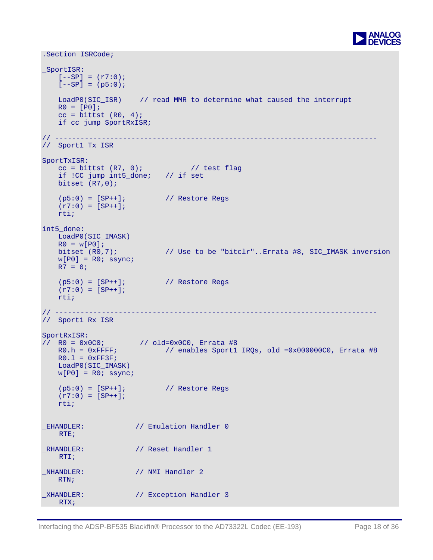

```
.Section ISRCode; 
_SportISR: 
   [--SP] = (r7:0);[--SP] = (p5:0);LoadP0(SIC_ISR) // read MMR to determine what caused the interrupt 
   RO = [PO];cc = \text{bittst} (\text{R0}, 4);if cc jump SportRxISR; 
// ---------------------------------------------------------------------------- 
// Sport1 Tx ISR 
SportTxISR: 
    cc = \text{bittst} (\text{R7}, 0); // test flag
    if !CC jump int5_done; // if set 
    bitset (R7,0); 
   (p5:0) = [SP++]; // Restore Regs
   (r7:0) = [SP++]; rti; 
int5_done: 
    LoadP0(SIC_IMASK) 
   R0 = w[PO];<br>bitset (R0,7);// Use to be "bitclr"..Errata #8, SIC_IMASK inversion
   w[PO] = R0; ssync;
   R7 = 0;(p5:0) = [SP++]; // Restore Regs
   (r7:0) = [SP++]; rti; 
// ---------------------------------------------------------------------------- 
// Sport1 Rx ISR 
SportRxISR: 
// R0 = 0x0C0; // old=0x0C0, Errata #8 
    R0.h = 0xFFFF; // enables Sport1 IRQs, old =0x000000C0, Errata #8 
   R0.1 = 0xFF3F;LoadP0(SIC_IMASK) 
   w[PO] = R0; ssync;
   (p5:0) = [SP++]; // Restore Regs
   (r7:0) = [SP++]; rti; 
_EHANDLER: // Emulation Handler 0 
   RTE; 
_RHANDLER: // Reset Handler 1 
   RTI; 
NHANDLER: // NMI Handler 2
   RTN; 
XHANDLER: // Exception Handler 3
  RTX;
```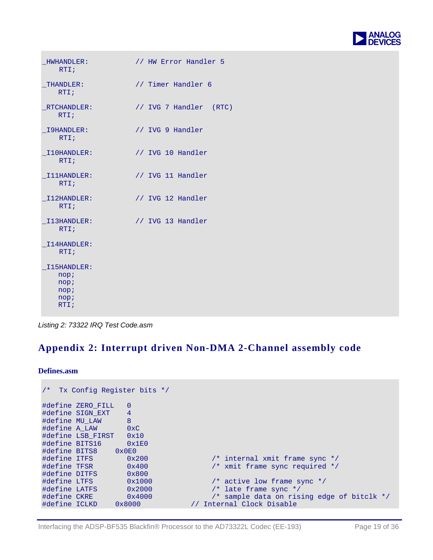

| HWHANDLER:<br>RTI;                                  | // HW Error Handler 5  |
|-----------------------------------------------------|------------------------|
| THANDLER:<br>RTI;                                   | // Timer Handler 6     |
| RTCHANDLER:<br>RTI;                                 | // IVG 7 Handler (RTC) |
| I9HANDLER:<br>RTI;                                  | // IVG 9 Handler       |
| I10HANDLER:<br>RTI;                                 | // IVG 10 Handler      |
| I11HANDLER:<br>RTI;                                 | // IVG 11 Handler      |
| I12HANDLER:<br>RTI;                                 | // IVG 12 Handler      |
| I13HANDLER:<br>RTI;                                 | // IVG 13 Handler      |
| I14HANDLER:<br>RTI;                                 |                        |
| I15HANDLER:<br>nop;<br>nop;<br>nop;<br>nop;<br>RTI; |                        |

*Listing 2: 73322 IRQ Test Code.asm*

#### **Appendix 2: Interrupt driven Non-DMA 2-Channel assembly code**

**Defines.asm** 

```
/* Tx Config Register bits */ 
#define ZERO_FILL 0<br>#define SIGN EXT 4
#define SIGN_EXT 4 
#define MU_LAW 8<br>#define A_LAW 0xC
#define A_LAW 0xC<br>#define LSB_FIRST 0x10
#define LSB_FIRST 0x10 
#define BITS16
#define BITS8 0x0E0 
#define ITFS 0x200 /* internal xmit frame sync */<br>#define TFSR 0x400 /* xmit frame sync required */
                         0 \times 400 /* xmit frame sync required */<br>0 \times 800#define DITFS 0x800 
                                                    /* active low frame sync */<br>/* late frame sync */
#define LATFS 0x2000<br>#define CKRE 0x4000
                                              /* sample data on rising edge of bitclk */<br>
// Internal Clock Disable
#define ICLKD 0x8000
```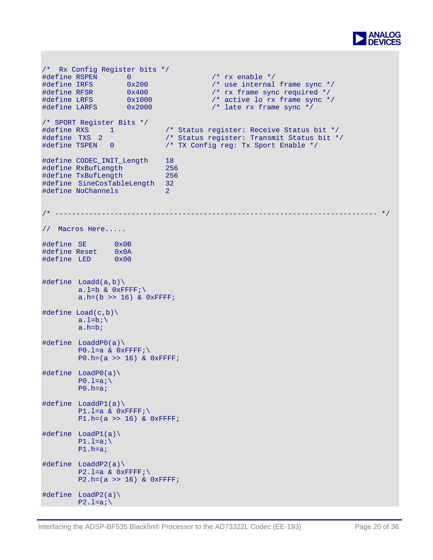

```
/* Rx Config Register bits */ 
#define RSPEN 0 /* rx enable */ 
#define IRFS 0x200 /* use internal frame sync */ 
#define RFSR 0x400 <br>#define LRFS 0x1000 /* active lo rx frame sync */
#define LRFS 0x1000 /* active lo rx frame sync */<br>#define LARFS 0x2000 /* late rx frame sync */
                                         /* late rx frame sync *//* SPORT Register Bits */ 
#define RXS 1 /* Status register: Receive Status bit */<br>#define TXS 2 /* Status register: Transmit Status bit */
#define TXS 2 /* Status register: Transmit Status bit */ 
#define TSPEN 0 /* TX Config reg: Tx Sport Enable */ 
#define CODEC_INIT_Length 18 
#define RxBufLength 256 
#define TxBufLength 256 
#define SineCosTableLength 32 
#define NoChannels 2 
                          /* ---------------------------------------------------------------------------- */ 
// Macros Here..... 
#define SE 0x0B 
#define Reset 0x0A 
#define LED 0x00 
#define Loadd(a,b)\ 
        a.l=b \& 0 \times FFFF;\
        a.h=(b \gg 16) & 0xFFFF;
#define Load(c,b)\setminusa.l=b\mathbf{b} a.h=b; 
#define LoaddP0(a)\ 
        P0.1=a \& 0xFFFF;\
        P0.h=(a >> 16) & 0xFFFF; 
#define LoadP0(a)\ 
        P0.1=a;\n\ P0.h=a; 
#define LoaddP1(a)\ 
        P1.1=a & 0xFFFF;\
        P1.h=(a >> 16) & 0xFFFF; 
#define LoadP1(a)\ 
        P1.1=a;\n\P1.h=a;#define LoaddP2(a)\ 
        P2.1=a \& 0xFFFF;
        P2.h=(a \gg 16) & 0xFFFF;
#define LoadP2(a)\ 
        P2.1=ai\setminus
```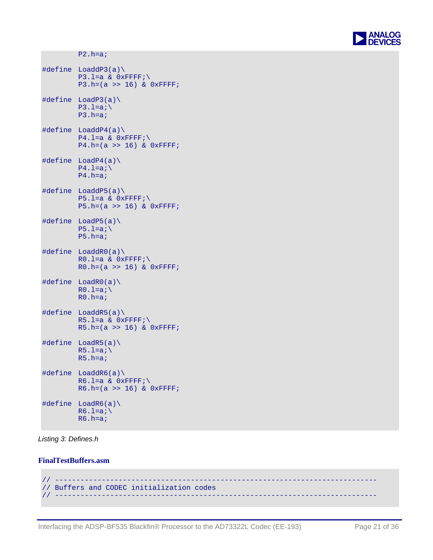

```
P2.h=a; 
#define LoaddP3(a)\ 
         P3.1=a & 0xFFFF;\
         P3.h=(a >> 16) & 0xFFFF; 
#define LoadP3(a)\ 
        P3.1=a;\n\ P3.h=a; 
#define LoaddP4(a)\ 
         P4.L=a \& OxFFFF; \P4.h=(a \gg 16) & 0xFFFF;
#define LoadP4(a)\ 
        P4.1=a;\n\ P4.h=a; 
#define LoaddP5(a)\ 
        P5.1=a & 0xFFFF;
        P5.h=(a >> 16) & 0xFFFF;
#define LoadP5(a)\ 
        P5.1=a;\setminus P5.h=a; 
#define LoaddR0(a)\ 
        R0.L=a \& OxFFFF; \R0.h=(a >> 16) & 0xFFFF; 
#define LoadR0(a)\ 
        R0.l=a;\n R0.h=a; 
#define LoaddR5(a)\ 
        R5.1=a & 0xFFFF;\
        R5.h=(a >> 16) & 0xFFFF; 
#define LoadR5(a)\ 
        R5.l=a;\n\ R5.h=a; 
#define LoaddR6(a)\ 
        R6.1=a \& 0xFFFF;
        R6.h=(a >> 16) & 0xFFFF; 
#define LoadR6(a)\ 
        R6.1=a;\n\R6.h=a;
```
*Listing 3: Defines.h* 

#### **FinalTestBuffers.asm**

```
// ---------------------------------------------------------------------------- 
// Buffers and CODEC initialization codes 
                                            // ----------------------------------------------------------------------------
```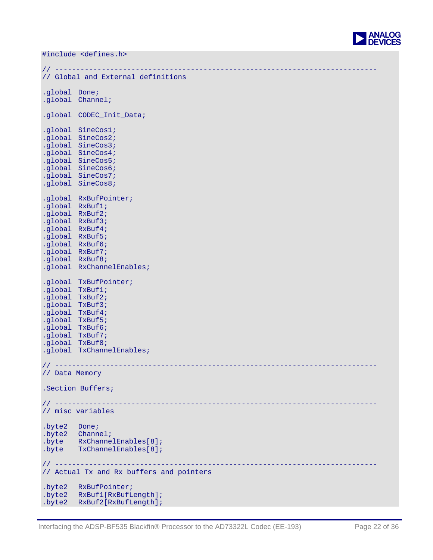

#include <defines.h>

```
// ---------------------------------------------------------------------------- 
// Global and External definitions 
.global Done; 
.global Channel; 
.global CODEC_Init_Data; 
.global SineCos1; 
.global SineCos2; 
.global SineCos3; 
.global SineCos4; 
.global SineCos5; 
.global SineCos6; 
.global SineCos7; 
.global SineCos8; 
.global RxBufPointer; 
.global RxBuf1; 
.global RxBuf2; 
.global RxBuf3; 
.global RxBuf4; 
.global RxBuf5; 
.global RxBuf6; 
.global RxBuf7; 
.global RxBuf8; 
.global RxChannelEnables; 
.global TxBufPointer; 
.global TxBuf1; 
.global TxBuf2; 
.global TxBuf3; 
.global TxBuf4; 
.global TxBuf5; 
.global TxBuf6; 
.global TxBuf7; 
.global TxBuf8; 
.global TxChannelEnables; 
// ---------------------------------------------------------------------------- 
// Data Memory 
.Section Buffers; 
// ---------------------------------------------------------------------------- 
// misc variables 
.byte2 Done; 
.byte2 Channel; 
.byte RxChannelEnables[8]; 
.byte TxChannelEnables[8]; 
// ---------------------------------------------------------------------------- 
// Actual Tx and Rx buffers and pointers 
.byte2 RxBufPointer; 
.byte2 RxBuf1[RxBufLength]; 
.byte2 RxBuf2[RxBufLength];
```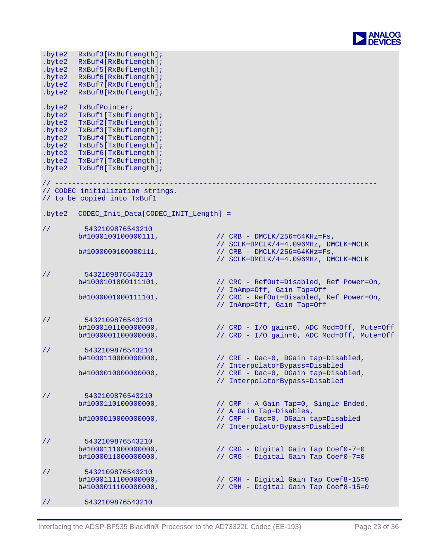

| .byte2<br>.byte2<br>.byte2<br>.byte2<br>.byte2<br>.byte2                               | RxBuf3[RxBufLength];<br>RxBuf4[RxBufLength];<br>RxBuf5[RxBufLength];<br>RxBuf6[RxBufLength];<br>RxBuf7[RxBufLength];<br>RxBuf8[RxBufLength];                                                                  |                                                                                                         |
|----------------------------------------------------------------------------------------|---------------------------------------------------------------------------------------------------------------------------------------------------------------------------------------------------------------|---------------------------------------------------------------------------------------------------------|
| .byte2<br>.byte2<br>.byte2<br>.byte2<br>.byte2<br>.byte2<br>.byte2<br>.byte2<br>.byte2 | TxBufPointer;<br>TxBuf1[TxBufLength];<br>TxBuf2[TxBufLength];<br>TxBuf3[TxBufLength];<br>TxBuf4[TxBufLength];<br>TxBuf5[TxBufLength];<br>TxBuf6[TxBufLength];<br>TxBuf7[TxBufLength];<br>TxBuf8[TxBufLength]; |                                                                                                         |
| // --------                                                                            | // CODEC initialization strings.<br>// to be copied into TxBuf1                                                                                                                                               |                                                                                                         |
| .byte2                                                                                 | CODEC_Init_Data[CODEC_INIT_Length] =                                                                                                                                                                          |                                                                                                         |
| $\frac{1}{2}$                                                                          | 5432109876543210<br>b#1000100100000111,                                                                                                                                                                       | // $CRB - DMCLK/256=64KHz=Fs$ ,<br>// SCLK=DMCLK/4=4.096MHz, DMCLK=MCLK                                 |
|                                                                                        | b#1000000100000111,                                                                                                                                                                                           | // $CRB - DMCLK/256 = 64KHz = Fs$ ,<br>// SCLK=DMCLK/4=4.096MHz, DMCLK=MCLK                             |
| $\frac{1}{2}$                                                                          | 5432109876543210<br>b#1000101000111101,                                                                                                                                                                       | // CRC - RefOut=Disabled, Ref Power=On,<br>// InAmp=Off, Gain Tap=Off                                   |
|                                                                                        | b#1000001000111101,                                                                                                                                                                                           | // CRC - RefOut=Disabled, Ref Power=On,<br>// InAmp=Off, Gain Tap=Off                                   |
| $\frac{1}{2}$                                                                          | 5432109876543210<br>b#1000101100000000,<br>b#1000001100000000,                                                                                                                                                | // CRD - I/O gain=0, ADC Mod=Off, Mute=Off<br>// CRD - I/O gain=0, ADC Mod=Off, Mute=Off                |
| $\frac{1}{2}$                                                                          | 5432109876543210<br>b#1000110000000000,                                                                                                                                                                       | // CRE - Dac=0, DGain tap=Disabled,                                                                     |
|                                                                                        | b#1000010000000000,                                                                                                                                                                                           | // InterpolatorBypass=Disabled<br>// CRE - Dac=0, DGain tap=Disabled,<br>// InterpolatorBypass=Disabled |
| $\frac{1}{2}$                                                                          | 5432109876543210                                                                                                                                                                                              |                                                                                                         |
|                                                                                        | b#1000110100000000,                                                                                                                                                                                           | // CRF - A Gain Tap=0, Single Ended,<br>// A Gain Tap=Disables,                                         |
|                                                                                        | b#1000010000000000,                                                                                                                                                                                           | // CRF - Dac=0, DGain tap=Disabled<br>// InterpolatorBypass=Disabled                                    |
| $\frac{1}{2}$                                                                          | 5432109876543210<br>b#1000111000000000,                                                                                                                                                                       | // CRG - Digital Gain Tap Coef0-7=0                                                                     |
|                                                                                        | b#1000011000000000,                                                                                                                                                                                           | // CRG - Digital Gain Tap Coef0-7=0                                                                     |
| $\frac{1}{2}$                                                                          | 5432109876543210<br>b#1000111100000000,                                                                                                                                                                       | // CRH - Digital Gain Tap Coef8-15=0                                                                    |
|                                                                                        | b#1000011100000000,                                                                                                                                                                                           | // CRH - Digital Gain Tap Coef8-15=0                                                                    |
| $\frac{1}{2}$                                                                          | 5432109876543210                                                                                                                                                                                              |                                                                                                         |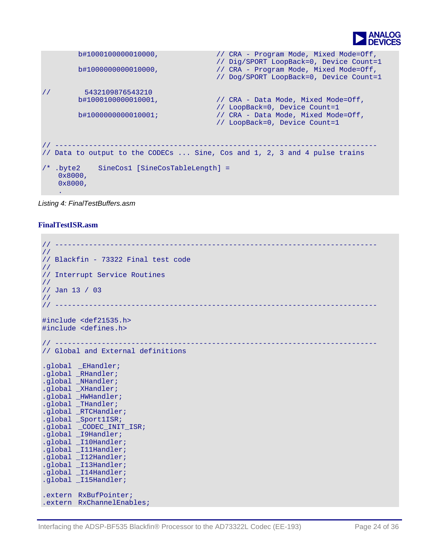

```
b#1000100000000,
                 // 
Dig/SPORT LoopBack=0, Device Count=1 
                                      // CRA - Program Mode, Mixed Mode=Off, 
       b#1000000000010000, // CRA - Program Mode, Mixed Mode=Off, 
                                        // Dog/SPORT LoopBack=0, Device Count=1 
// 5432109876543210 
       b#10001000000010001, // CRA - Data Mode, Mixed Mode = Off,// LoopBack=0, Device Count=1<br>b#100000000000010001; // CRA - Data Mode, Mixed Mode
                                       // CRA - Data Mode, Mixed Mode=Off,
                                        // LoopBack=0, Device Count=1 
// ---------------------------------------------------------------------------- 
// Data to output to the CODECs ... Sine, Cos and 1, 2, 3 and 4 pulse trains 
/* .byte2 SineCos1 [SineCosTableLength] = 
    0x8000, 
    0x8000, 
 .
```

```
Listing 4: FinalTestBuffers.asm
```
#### **FinalTestISR.asm**

```
// ---------------------------------------------------------------------------- 
// 
// Blackfin - 73322 Final test code 
// 
// Interrupt Service Routines 
// 
// Jan 13 / 03 
// 
// ---------------------------------------------------------------------------- 
#include <def21535.h> 
#include <defines.h> 
// ---------------------------------------------------------------------------- 
// Global and External definitions 
.global _EHandler; 
.global _RHandler; 
.global _NHandler; 
.global _XHandler; 
.global _HWHandler; 
.global _THandler; 
.global _RTCHandler; 
.global _Sport1ISR; 
.global _CODEC_INIT_ISR; 
.global _I9Handler; 
.global _I10Handler; 
.global _I11Handler; 
.global _I12Handler; 
.global _I13Handler; 
.global _I14Handler; 
.global _I15Handler; 
.extern RxBufPointer; 
.extern RxChannelEnables;
```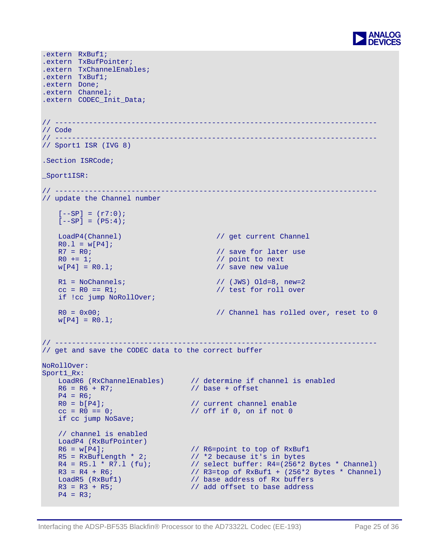

```
.extern RxBuf1; 
.extern TxBufPointer; 
.extern TxChannelEnables; 
.extern TxBuf1; 
.extern Done; 
.extern Channel; 
.extern CODEC_Init_Data; 
// ---------------------------------------------------------------------------- 
// Code 
// ---------------------------------------------------------------------------- 
// Sport1 ISR (IVG 8) 
.Section ISRCode; 
_Sport1ISR: 
// ---------------------------------------------------------------------------- 
// update the Channel number 
   [--SP] = (r7:0);[--SP] = (P5:4);LoadP4(Channel) // get current Channel 
   R0.1 = w[P4];<br>R7 = R0;// save for later use
   R0 \leftarrow 1; \frac{1}{2} // point to next
   w[P4] = R0.1; \frac{1}{2} = \frac{1}{2} // save new value
   R1 = NoChannels; \qquad \qquad \qquad \qquad \qquad \qquad \qquad // (JWS) Old = 8, new = 2cc = R0 == R1; // test for roll overif !cc jump NoRollOver; 
   R0 = 0x00; \frac{1}{2} // Channel has rolled over, reset to 0
   w[P4] = R0.1;// ---------------------------------------------------------------------------- 
// get and save the CODEC data to the correct buffer 
NoRollOver: 
Sport1 Rx:
    LoadR6 (RxChannelEnables) // determine if channel is enabled 
   R6 = R6 + R7; // base + offset
   P4 = R6;<br>R0 = b[P4];
                                 // current channel enable
   cc = R0 == 0; // off if 0, on if not 0
   if cc jump NoSave; 
   // channel is enabled 
    LoadP4 (RxBufPointer) 
   R6 = w[P4]; // R6 = point to top of RxBuf1R5 = RxButLength * 2; \qquad // *2 because it's in bytes
    R4 = R5.1 * R7.1 (fu); // select buffer: R4 = (256 * 2 \text{ bytes } * \text{ Channel})R3 = R4 + R6; \frac{1}{2} \frac{1}{R3}=top of RxBuf1 + (256*2 Bytes * Channel)
   LoadR5 (RxBuf1) \frac{1}{1} base address of Rx buffers<br>R3 = R3 + R5; \frac{1}{1} add offset to base address
                                  // add offset to base address
   P4 = R3;
```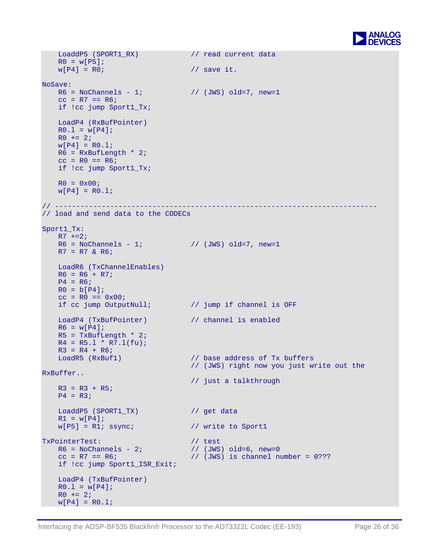

```
 LoaddP5 
(SPORT1_RX) // read current data 
    R0 = w[P5];<br>w[P4] = R0;// save it.
NoSave: 
   R6 = NoChannels - 1; // (JWS) old=7, new=1cc = R7 == R6;if !cc jump Sport1_Tx; 
     LoadP4 (RxBufPointer) 
    R0.1 = w[P4]R0 + = 2;w[P4] = R0.1;R6 = RxBufLength * 2;
    cc = R0 == R6;if !cc jump Sport1_Tx; 
   R0 = 0x00;w[P4] = R0.1;// ---------------------------------------------------------------------------- 
// load and send data to the CODECs 
Sport1_Tx: 
   R7 + = 2;R6 = NoChannels - 1; // (JWS) old=7, new=1R7 = R7 & R6;
    LoadR6 (TxChannelEnables) 
   R6 = R6 + R7;P4 = R6;R0 = b[P4];
    cc = R0 == 0x00;<br>if cc jump OutputNull;
                                    // jump if channel is OFF
   LoadP4 (TxBufPointer) // channel is enabled 
    R6 = w[P4]R5 = TxBufLength * 2;
    R4 = R5.1 * R7.1(fu);R3 = R4 + R6;<br>LoadR5 (RxBuf1)
                                     // base address of Tx buffers
                                     // (JWS) right now you just write out the 
RxBuffer.. 
                                      // just a talkthrough 
    R3 = R3 + R5;P4 = R3;LoaddP5 (SPORT1_TX) // get data
    R1 = w[P4];w[P5] = R1; ssync; // write to Sport1
TxPointerTest: (1) (1) (2) (3) (3) (3) (3) (3) (3) (3) (3) (3) (3) (3) (3) (3) (3) (3) (3) (3) (3) (3) (3) (3) (3) (3) (3) (3) (3) (3) (3) (3) (3) (3) (R6 = NoChannels - 2;cc = R7 == R6; // (JWS) is channel number = 0???
   if !cc jump Sport1_ISR_Exit; 
    LoadP4 (TxBufPointer) 
   R0.1 = w[P4]R0 + = 2;w[P4] = R0.1;
```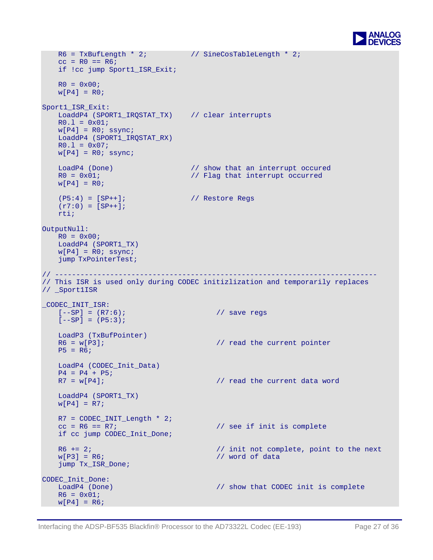

```
R6 = TxBufLength * 2; \frac{1}{2} // SineCosTableLength * 2;
   cc = R0 == R6;if !cc jump Sport1_ISR_Exit; 
   R0 = 0x00;w[P4] = R0;Sport1_ISR_Exit: 
   LoaddP4 (SPORT1_IRQSTAT_TX) // clear interrupts 
   R0.1 = 0x01;w[P4] = R0; ssync;
    LoaddP4 (SPORT1_IRQSTAT_RX) 
   R0.1 = 0x07;w[P4] = R0; ssync;
   LoadP4 (Done) // show that an interrupt occured
   R0 = 0x01; \frac{1}{2} // Flag that interrupt occurred
   w[P4] = R0;(P5:4) = [SP++]; // Restore Regs 
   (r7:0) = [SP++]; rti; 
OutputNull: 
   R0 = 0x00; LoaddP4 (SPORT1_TX) 
   w[P4] = R0; ssync;
    jump TxPointerTest; 
// ---------------------------------------------------------------------------- 
// This ISR is used only during CODEC initizlization and temporarily replaces 
// _Sport1ISR 
_CODEC_INIT_ISR: 
   [--SP] = (R7:6); // save regs 
   [--SP] = (P5:3);LoadP3 (TxBufPointer)<br>R6 = w[P3];
                                         1/ read the current pointer
   P5 = R6; LoadP4 (CODEC_Init_Data) 
   P4 = P4 + P5;<br>R7 = w[P4];// read the current data word
    LoaddP4 (SPORT1_TX) 
   W[P4] = R7;
   R7 = CODEC\_INIT\_Length * 2;<br>cc = R6 == R7;// see if init is complete
   if cc jump CODEC_Init_Done; 
   R6 += 2; \frac{1}{2} // init not complete, point to the next
   w[P3] = R6; \frac{1}{2} with \frac{1}{2} word of data
    jump Tx_ISR_Done; 
CODEC_Init_Done:<br>LoadP4 (Done)
                                        1/ show that CODEC init is complete
   R6 = 0x01;w[ P4 ] = R6;
```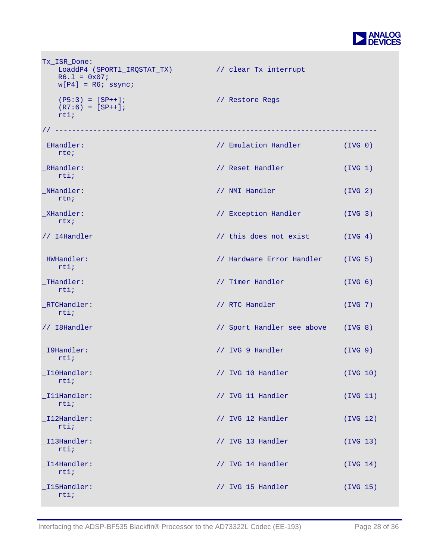

| Tx ISR Done:<br>LoaddP4 (SPORT1_IRQSTAT_TX)<br>$R6.1 = 0x07$<br>$w[P4] = R6$ ; ssync; | // clear Tx interrupt              |                     |
|---------------------------------------------------------------------------------------|------------------------------------|---------------------|
| $(P5:3) = [SP++];$<br>$(R7:6) = [SP++];$<br>rtii                                      | // Restore Regs                    |                     |
|                                                                                       |                                    |                     |
| EHandler:<br>rte;                                                                     | // Emulation Handler (IVG 0)       |                     |
| _RHandler:<br>rtii                                                                    | // Reset Handler                   | (IVG 1)             |
| _NHandler:<br>rtn;                                                                    | // NMI Handler                     | (IVG <sub>2</sub> ) |
| _XHandler:<br>rtx;                                                                    | // Exception Handler               | (IVG <sub>3</sub> ) |
| // I4Handler                                                                          | // this does not exist (IVG 4)     |                     |
| HWHandler:<br>rtii                                                                    | // Hardware Error Handler (IVG 5)  |                     |
| _THandler:<br>$rtii$ ;                                                                | // Timer Handler                   | (IVG <sub>6</sub> ) |
| _RTCHandler:<br>rtii                                                                  | // RTC Handler                     | (IVG 7)             |
| // I8Handler                                                                          | // Sport Handler see above (IVG 8) |                     |
| _I9Handler:<br>rtii                                                                   | // IVG 9 Handler                   | (IVG 9)             |
| I10Handler:<br>rtii                                                                   | // IVG 10 Handler                  | (IVG 10)            |
| IllHandler:<br>$rtii$ ;                                                               | // IVG 11 Handler                  | (IVG 11)            |
| I12Handler:<br>rtii                                                                   | // IVG 12 Handler                  | (IVG 12)            |
| _I13Handler:<br>rtii                                                                  | // IVG 13 Handler                  | (IVG 13)            |
| _I14Handler:<br>rtii                                                                  | // IVG 14 Handler                  | (IVG 14)            |
| I15Handler:<br>rtii                                                                   | // IVG 15 Handler                  | (IVG 15)            |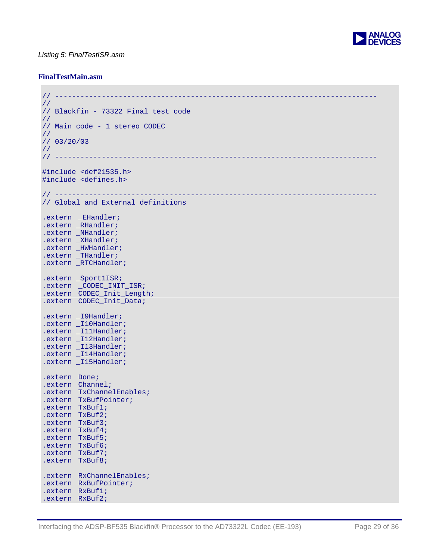

#### *Listing 5: FinalTestISR.asm*

#### **FinalTestMain.asm**

```
// ---------------------------------------------------------------------------- 
// 
// Blackfin - 73322 Final test code 
// 
// Main code - 1 stereo CODEC 
// 
// 03/20/03 
//<br>// -----------
                                // ---------------------------------------------------------------------------- 
#include <def21535.h> 
#include <defines.h> 
// ---------------------------------------------------------------------------- 
// Global and External definitions 
.extern _EHandler; 
.extern _RHandler; 
.extern _NHandler; 
.extern _XHandler; 
.extern _HWHandler; 
.extern _THandler; 
.extern _RTCHandler; 
.extern _Sport1ISR; 
.extern CODEC INIT ISR;
.extern CODEC_Init_Length; 
.extern CODEC_Init_Data; 
.extern _I9Handler; 
.extern _I10Handler; 
.extern _I11Handler;
.extern _I12Handler; 
.extern _I13Handler; 
.extern _I14Handler; 
.extern _I15Handler; 
.extern Done; 
.extern Channel; 
.extern TxChannelEnables; 
.extern TxBufPointer; 
.extern TxBuf1; 
.extern TxBuf2; 
.extern TxBuf3; 
.extern TxBuf4; 
.extern TxBuf5; 
.extern TxBuf6; 
.extern TxBuf7; 
.extern TxBuf8; 
.extern RxChannelEnables; 
.extern RxBufPointer; 
.extern RxBuf1; 
.extern RxBuf2;
```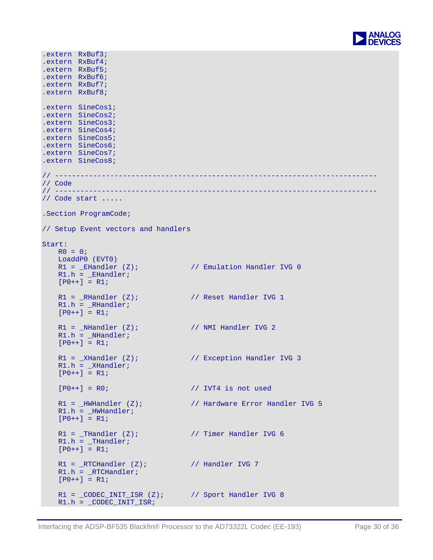

```
.extern RxBuf3; 
.extern RxBuf4; 
.extern RxBuf5; 
.extern RxBuf6; 
.extern RxBuf7; 
.extern RxBuf8; 
.extern SineCos1; 
.extern SineCos2; 
.extern SineCos3; 
.extern SineCos4; 
.extern SineCos5; 
.extern SineCos6; 
.extern SineCos7; 
.extern SineCos8; 
// ---------------------------------------------------------------------------- 
// Code<br>// -------
                // ---------------------------------------------------------------------------- 
// Code start ..... 
.Section ProgramCode; 
// Setup Event vectors and handlers 
Start: 
   R0 = 0; LoaddP0 (EVT0) 
   R1 = EHandler (Z); \frac{1}{2} Emulation Handler IVG 0
   R1.h = EHandler;
   [PO++] = R1;R1 = RHandler (Z); // Reset Handler IVG 1
   R1.h = _RHandler;
   [PO++] = R1;R1 = NHandler (Z); // NMI Handler IVG 2
   R1.h = _NHandler;
    [PO++] = R1;R1 = XHandler (Z); // Exception Handler IVG 3
   R1.h = _XHandler;
    [PO++] = R1;[P0++] = R0; // IVT4 is not used
   R1 = _HWHandler (Z); \frac{1}{2} // Hardware Error Handler IVG 5
   R1.h = _HWHandler; 
   [P0++] = R1;R1 = THandler (Z); \frac{1}{2} // Timer Handler IVG 6
   R1.h = _THandler;
   [P0++] = R1;R1 = \frac{RTCHandler (Z)}{W} // Handler IVG 7
   R1.h = RTCHandler;[PO++] = R1;R1 = \text{\texttt{CODEC\_INIT\_ISR}} (Z); // Sport Handler IVG 8
   R1.h = \_ \text{CODEC} \_ \text{INIT} \_ \text{ISR};
```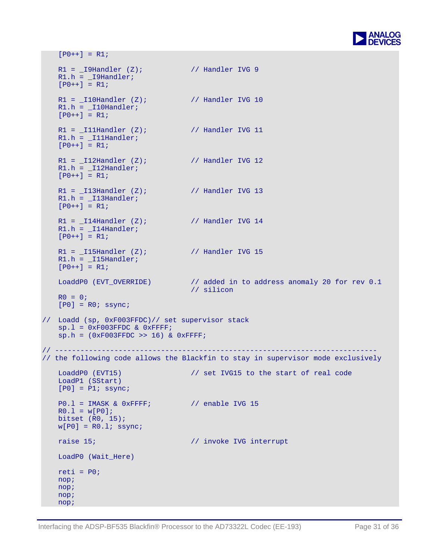

```
[PO++] = R1;R1 = 19Handler (Z); // Handler IVG 9
   R1.h = _I9Handler; 
   [PO++] = R1;R1 = 10Handler (Z); // Handler IVG 10
   R1.h = 110Handler;
   [PO++] = R1;R1 = 111Handler (Z); // Handler IVG 11
   R1.h = _I11Handler; 
   [PO++] = R1;R1 = 12Handler (Z); // Handler IVG 12
   R1.h = _I12Handler;
   [PO++] = R1;R1 = 13Handler (Z); // Handler IVG 13
   R1.h = _I13Handler; 
   [PO++] = R1;R1 = 114Handler (Z); // Handler IVG 14
   R1.h = 114Handler;
   [P0++] = R1;R1 = I15Handler (Z); // Handler IVG 15
   R1.h = I15Handler;
   [PO++] = R1;LoaddP0 (EVT_OVERRIDE) \frac{1}{2} added in to address anomaly 20 for rev 0.1
                                // silicon 
   RO = 0;[P0] = R0; ssync;
// Loadd (sp, 0xF003FFDC)// set supervisor stack 
   sp.l = 0xF003FFDC & 0xFFFF;sp.h = (0xF003FFDC >> 16) & 0xFFFF;
// ---------------------------------------------------------------------------- 
// the following code allows the Blackfin to stay in supervisor mode exclusively 
   LoaddP0 (EVT15) \frac{1}{3} set IVG15 to the start of real code
    LoadP1 (SStart) 
   [P0] = P1; ssync;
   P0.1 = IMASK & 0xFFFF; // enable IVG 15
   R0.1 = w[P0];bitset (R0, 15); 
   w[P0] = R0.1; ssync;
   raise 15; \sqrt{ } invoke IVG interrupt
    LoadP0 (Wait_Here) 
   reti = P0;
    nop; 
    nop; 
    nop; 
    nop;
```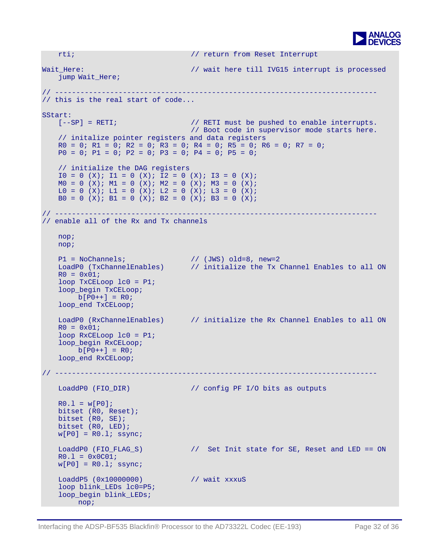

```
rti; // return from Reset Interrupt 
Wait Here: // wait here till IVG15 interrupt is processed
    jump Wait_Here; 
// ---------------------------------------------------------------------------- 
// this is the real start of code... 
SStart: 
   [--SP] = RETI; \frac{1}{2} // RETI must be pushed to enable interrupts.
                                  // Boot code in supervisor mode starts here. 
   // initalize pointer registers and data registers 
   R0 = 0; R1 = 0; R2 = 0; R3 = 0; R4 = 0; R5 = 0; R6 = 0; R7 = 0;
   P0 = 0; P1 = 0; P2 = 0; P3 = 0; P4 = 0; P5 = 0;
   // initialize the DAG registers 
   IO = 0 (X); II = 0 (X); I2 = 0 (X); I3 = 0 (X);MO = O (X); M1 = O (X); M2 = O (X); M3 = O (X);LO = O (X); L1 = O (X); L2 = O (X); L3 = O (X);B0 = 0 (X); B1 = 0 (X); B2 = 0 (X); B3 = 0 (X);
// ---------------------------------------------------------------------------- 
// enable all of the Rx and Tx channels 
    nop; 
    nop; 
   P1 = NoChannels; // (JWS) old=8, new=2 LoadP0 (TxChannelEnables) // initialize the Tx Channel Enables to all ON 
   R0 = 0 \times 01;loop TxCELoop lc0 = P1; 
    loop_begin TxCELoop; 
      b[PO++] = R0; loop_end TxCELoop; 
    LoadP0 (RxChannelEnables) // initialize the Rx Channel Enables to all ON 
   R0 = 0x01;loop RxCELoop lc0 = P1; 
   loop begin RxCELoop;
      b[PO++] = R0; loop_end RxCELoop; 
// ---------------------------------------------------------------------------- 
   LoaddP0 (FIO_DIR) // config PF I/O bits as outputs 
   R0.1 = w[PO];bitset (R0, Reset); 
   bitset (R0, SE); 
   bitset (R0, LED); 
   w[PO] = R0.1; ssync;
   LoaddP0 (FIO_FLAG_S) // Set Init state for SE, Reset and LED == ON 
   R0.1 = 0x0C01;w[PO] = R0.1; ssync;
   LoaddP5 (0x10000000) // wait xxxuS 
   loop blink LEDs lc0=P5;
   loop begin blink LEDs;
        nop;
```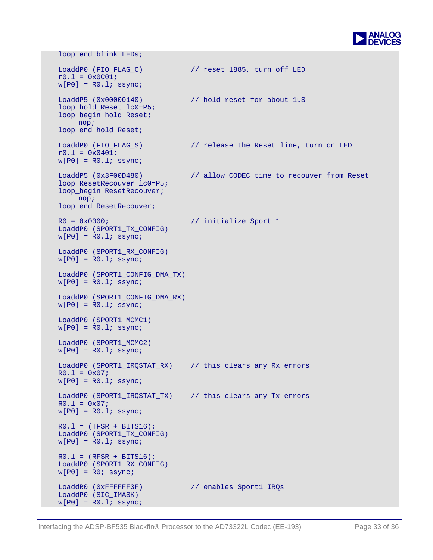

 loop\_end blink\_LEDs; LoaddP0 (FIO\_FLAG\_C)  $\frac{1}{2}$  // reset 1885, turn off LED  $r0.1 = 0x0C01;$  $w[PO] = R0.l; ssync;$ LoaddP5 (0x00000140) // hold reset for about luS loop hold\_Reset lc0=P5; loop\_begin hold\_Reset; nop; loop\_end hold\_Reset; LoaddP0 (FIO\_FLAG\_S) // release the Reset line, turn on LED  $r0.1 = 0x0401;$  $w[PO] = R0.1;$  ssync; LoaddP5 (0x3F00D480) // allow CODEC time to recouver from Reset loop ResetRecouver lc0=P5; loop\_begin ResetRecouver; nop; loop\_end ResetRecouver; R0 = 0x0000; // initialize Sport 1 LoaddP0 (SPORT1\_TX\_CONFIG)  $w[PO] = R0.1;$  ssync; LoaddP0 (SPORT1 RX CONFIG)  $w[PO] = R0.1;$  ssync; LoaddP0 (SPORT1 CONFIG DMA TX)  $w[PO] = R0.1;$  ssync; LoaddP0 (SPORT1\_CONFIG\_DMA\_RX)  $w[PO] = R0.1$ ; ssync; LoaddP0 (SPORT1\_MCMC1)  $w[PO] = R0.1;$  ssync; LoaddP0 (SPORT1\_MCMC2)  $w[PO] = R0.1;$  ssync; LoaddP0 (SPORT1\_IRQSTAT\_RX) // this clears any Rx errors  $R0.1 = 0x07;$  $w[PO] = R0.l;$  ssync; LoaddP0 (SPORT1\_IRQSTAT\_TX) // this clears any Tx errors  $R0.1 = 0x07;$  $w[PO] = R0.1;$  ssync;  $R0.1 = (TFSR + BITS16)$ ; LoaddP0 (SPORT1\_TX\_CONFIG)  $w[PO] = R0.1;$  ssync;  $R0.1 = (RFSR + BITS16)$ ; LoaddP0 (SPORT1\_RX\_CONFIG)  $w[PO] = R0$ ; ssync; LoaddR0 (0xFFFFFF3F) // enables Sport1 IRQs LoaddP0 (SIC\_IMASK)  $w[PO] = R0.1;$  ssync;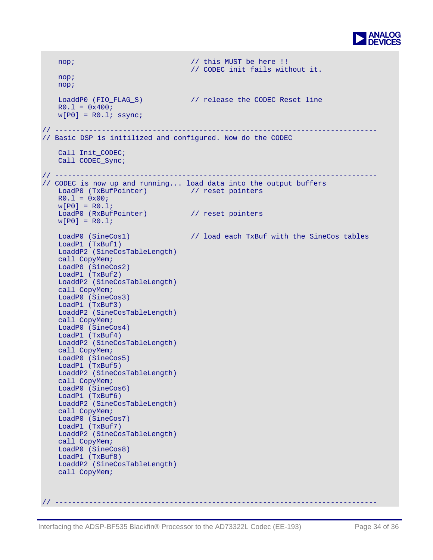

```
nop; \frac{1}{2} // this MUST be here !!
                                    // CODEC init fails without it. 
    nop; 
    nop; 
   LoaddP0 (FIO_FLAG_S) // release the CODEC Reset line 
   R0.1 = 0x400;w[PO] = R0.1; ssync;
// ---------------------------------------------------------------------------- 
// Basic DSP is initilized and configured. Now do the CODEC 
   Call Init CODEC;
    Call CODEC_Sync; 
// ---------------------------------------------------------------------------- 
// CODEC is now up and running... load data into the output buffers 
   LoadP0 (TxBufPointer) // reset pointers 
   R0.1 = 0x00;w[PO] = RO.1;LoadP0 (RxBufPointer) // reset pointers 
   w[PO] = R0.1;LoadP0 (SineCos1) \frac{1}{2} load each TxBuf with the SineCos tables
    LoadP1 (TxBuf1) 
    LoaddP2 (SineCosTableLength) 
    call CopyMem; 
    LoadP0 (SineCos2) 
    LoadP1 (TxBuf2) 
    LoaddP2 (SineCosTableLength) 
    call CopyMem; 
    LoadP0 (SineCos3) 
    LoadP1 (TxBuf3) 
    LoaddP2 (SineCosTableLength) 
    call CopyMem; 
    LoadP0 (SineCos4) 
    LoadP1 (TxBuf4) 
    LoaddP2 (SineCosTableLength) 
    call CopyMem; 
    LoadP0 (SineCos5) 
    LoadP1 (TxBuf5) 
    LoaddP2 (SineCosTableLength) 
    call CopyMem; 
    LoadP0 (SineCos6) 
    LoadP1 (TxBuf6) 
    LoaddP2 (SineCosTableLength) 
    call CopyMem; 
    LoadP0 (SineCos7) 
    LoadP1 (TxBuf7) 
    LoaddP2 (SineCosTableLength) 
    call CopyMem; 
    LoadP0 (SineCos8) 
    LoadP1 (TxBuf8) 
    LoaddP2 (SineCosTableLength) 
    call CopyMem;
```
// ----------------------------------------------------------------------------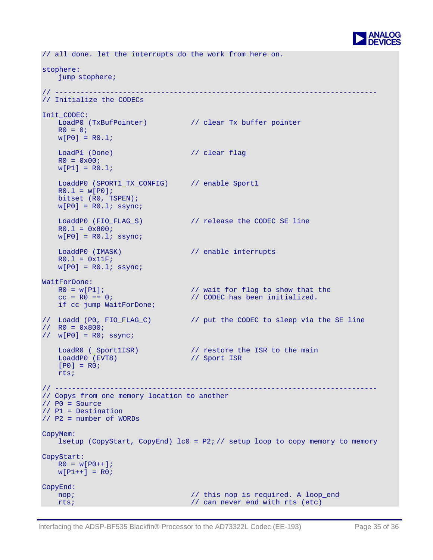

```
// all done. let the interrupts do the work from here on. 
stophere: 
    jump stophere; 
// ---------------------------------------------------------------------------- 
// Initialize the CODECs 
Init_CODEC: 
   LoadP0 (TxBufPointer) // clear Tx buffer pointer 
   R0 = 0;w[PO] = R0.1;LoadP1 (Done) // clear flag
   R0 = 0x00;w[PI] = R0.1;LoaddP0 (SPORT1_TX_CONFIG) // enable Sport1
   R0.1 = w[PO];bitset (R0, TSPEN); 
   w[P0] = R0.1; ssync;
   LoaddP0 (FIO_FLAG_S) // release the CODEC SE line 
   R0.1 = 0x800;w[P0] = R0.1; ssync;
   LoaddP0 (IMASK) // enable interrupts
   R0.1 = 0x11F;
   w[PO] = R0.1; ssync;
WaitForDone: 
   R0 = w[P1];<br>
C = R0 = 0;<br>
R = R0 = 0;<br>
R = R0 = 0;<br>
R = R0 = 0;<br>
R = R0 = 0;<br>
R = R0 = 0;<br>
R = R0 = 0;<br>
R = R0 = 0;<br>
R = R0 = 0;<br>
R = R0 = 0;// CODEC has been initialized.
   if cc jump WaitForDone; 
// Loadd (P0, FIO_FLAG_C) // put the CODEC to sleep via the SE line 
// R0 = 0x800; 
// w[P0] = R0; ssync;
   LoadR0 (_Sport1ISR) // restore the ISR to the main
   LoaddP0 (EVT8) // Sport ISR 
   [PO] = RO; rts; 
// ---------------------------------------------------------------------------- 
// Copys from one memory location to another 
// P0 = Source 
// P1 = Destination 
// P2 = number of WORDs 
CopyMem: 
   lsetup (CopyStart, CopyEnd) lc0 = P2i // setup loop to copy memory to memory
CopyStart: 
   RO = w[PO++];w[PI++] = R0;CopyEnd: 
   nop; \frac{1}{2} // this nop is required. A loop end
   rts; // can never end with rts (etc)
```